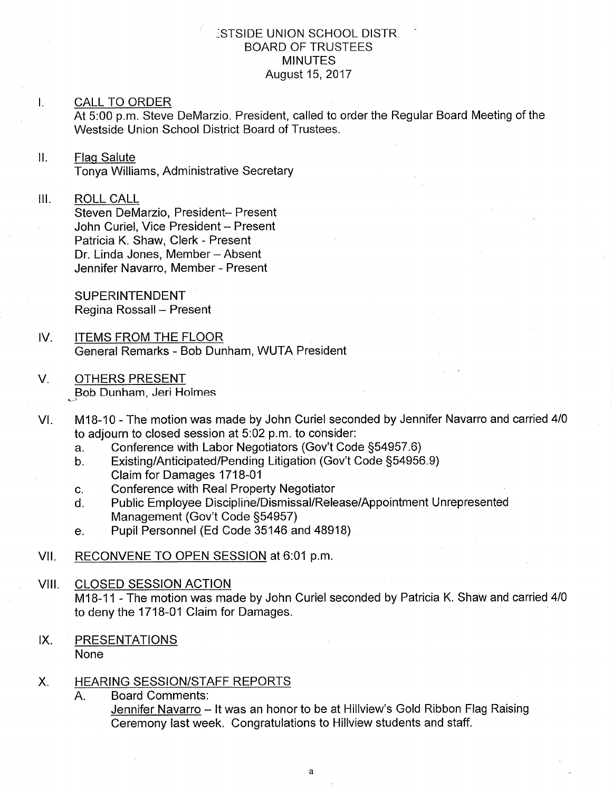#### :STSIDE UNION SCHOOL DISTR BOARD OF TRUSTEES MINUTES August 15,2017

#### I. CALL TO ORD

At 5:00 p.m. Steve DeMarzio. President, called to order the Regular Board Meeting of the Westside Union School District Board of Trustees.

#### $\mathbf{II}$ . Flaq Salute

Tonya Williams, Administrative Secretary

### III. ROLL CALL

Steven DeMarzio, President- Present John Curiel, Vice President - Present Patricia K. Shaw, Clerk - Present Dr. Linda Jones, Member - Absent Jennifer Navarro, Member - Present

SUPERINTENDENT Regina Rossall - Present

- $IV.$ TEMS FROM THE FLOOR General Remarks - Bob Dunham, WUTA President
- V. OTHERS PRESENT "..,Bob Bob Dunham, Jeri Holmes
- M1B-10 The motion was made by John Curiel seconded by Jennifer Navarro and carried 4/0 to adjourn to closed session at 5:02 p.m. to consider:<br>a. Conference with Labor Negotiators (Gov't Code §54957.6) VI
	-
	- a. Conference with Labor Negotiators (Gov't Code §54957.6)<br>b. Existing/Anticipated/Pending Litigation (Gov't Code §54956.9) Claim for Damages 1718-01
	-
	- c. Conference with Real Property Negotiator<br>d. Public Employee Discipline/Dismissal/Release/Appointment Unrepresented<br>Management (Gov't Code §54957)
	- e. Pupil Personnel (Ed Code 35146 and 48918)
- VII. RECONVENE TO OPEN SESSION at 6:01 p.m.

VIII. CLOSED SESSION ACTION M18-11 - The motion was made by John Curiel seconded by Patricia K. Shaw and carried 4/0 to deny the 1718-01 Claim for Damages.

IX. PRESENTATIONS None

#### HEARING SESSION/STAFF REPORTS  $X_{n}$

A. Board Comments: Jennifer Navarro - It was an honor to be at Hillview's Gold Ribbon Flag Raising Ceremony last week. Congratulations to Hillview students and staff.

 $\mathbf{a}$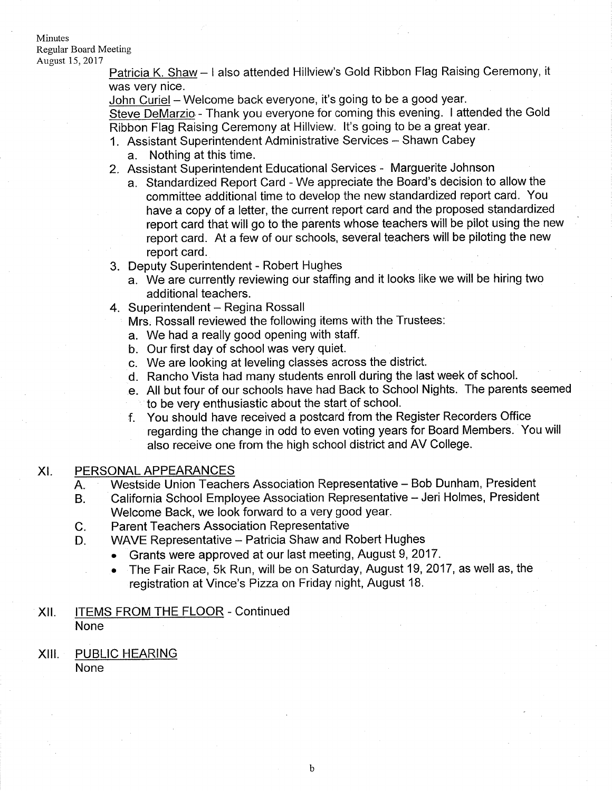#### Minutes Regular Board Meeting August 15,2017

Patricia K. Shaw - I also attended Hillview's Gold Ribbon Flag Raising Ceremony, it was very nice.

John Curiel - Welcome back everyone, it's going to be a good year.

Steve DeMarzio.- Thank you everyone for coming this evening. I attended the Gold Ribbon Flag Raising Ceremony at Hillview. lt's going to be a great year.

- 1. Assistant Superintendent Administrative Services Shawn Cabey
	- a. Nothing at this time.
- 2. Assistant Superintendent Educational Services Marguerite Johnson
	- a. Standardized Report Card We appreciate the Board's decision to allow the committee additional time to develop the new standardized report card. You have a copy of a letter, the current report card and the proposed standardized report card that will go to the parents whose teachers will be pilot using the new report card. At a few of our schools, several teachers will be piloting the new report card.
- 3. Deputy Superintendent Robert Hughes
	- a. We are currently reviewing our staffing and it looks like we will be hiring two additional teachers.
- 4. Superintendent Regina Rossall

Mrs. Rossall reviewed the following items with the Trustees:

- a. We had a really good opening with staff.
- b. Our first day of school was very quiet.
- 
- c. We are looking at leveling classes across the district. d. Rancho Vista had many students enroll during the last week of school.
- e. All but four of our schools have had Back to School Nights. The parents seemed to be very enthusiastic about the start of school.<br>f. You should have received a postcard from the Register Recorders Office
- regarding the change in odd to even voting years for Board Members. You will also receive one from the high school district and AV College.

### XI. PERSONAL APPEARANCES

- Westside Union Teachers Association Representative Bob Dunham, President A.
- California School Employee Association Representative Jeri Holmes, President Welcome Back, we look forward to a very good year. B.
- Parent Teachers Association Representative  $C_{\cdot}$
- WAVE Representative Patricia Shaw and Robert Hughes D.
	- . Grants were approved at our last meeting, August 9,2017.
		- . The Fair Race, 5k Run, will be on Saturday, August19,2017, as well as, the registration at Vince's Pizza on Friday night, August 18.
- XII. ITEMS FROM THE FLOOR Continued None
- XIII. PUBLIC HEARING None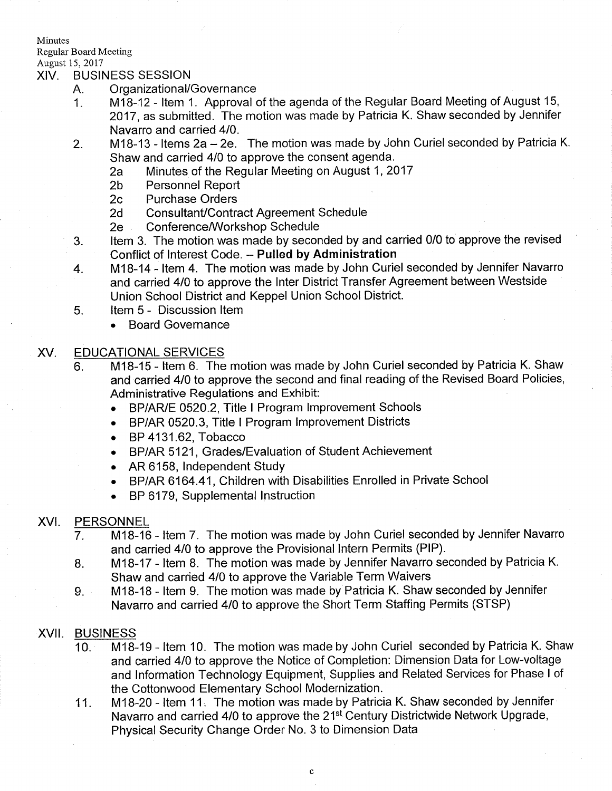Minutes

Regular Board Meeting

# August 15, 2017<br>XIV. BUSINESS SESSION

- 
- A. Organizational/Governance<br>1. M18-12 Item 1. Approval of the agenda of the Regular Board Meeting of August 15, 2017, as submitted. The motion was made by Patricia K. Shaw seconded by Jennifer Navarro and carried 410.
- 2. M18-13 Items 2a 2e. The motion was made by John Curiel seconded by Patricia K.<br>Shaw and carried 4/0 to approve the consent agenda.
	- Shaw 20 to approve the consent and consent agenda. 2017<br>
	Shaw Personnel Report<br>
	2c Purchase Orders
	-
	-
	-
	-
- 2d Consultant/Contract Agreement Schedule<br>2e Conference/Workshop Schedule<br>3. ltem 3. The motion was made by seconded by and carried 0/0 to approve the revised
- Conflict of Interest Code. Pulled by Administration<br>4. M18-14 Item 4. The motion was made by John Curiel seconded by Jennifer Navarro and carried 410 to approve the lnter District Transfer Agreement between Westside Union School District and Keppel Union School District. 5. ltem 5 - Discussion ltem
	- - Board Governance

### XV. EDUCATIONAL SERVICES

- 6. M18-15 Item 6. The motion was made by John Curiel seconded by Patricia K. Shaw and carried 410 to approve the second and final reading of the Revised Board Policies, Administrative Regulations and Exhibit:
	- BP/AR/E 0520.2, Title I Program Improvement Schools
	- . BP/AR 0520.3, Title I Program lmprovement Districts
	- . BP 4131.62, Tobacco
	- . BP/AR 5121, Grades/Evaluation of Student Achievement
	- . AR 6158, lndependent Study
	- . BP/AR 6164.41, Children with Disabilities Enrolled in Private School
	- . BP 6179, Supplemental lnstruction

## XVI. PERSONNEL

- M18-16 ltem 7. The motion was made by John Curiel seconded by Jennifer Navarro and carried 410 to approve the Provisional lntern Permits (PlP). 7
- M1B-17 ltem B. The motion was made by Jennifer Navarro seconded by Patricia K. Shaw and carried 410 to approve the Variable Term Waivers B
- M18-18 ltem 9. The motion was made by Patricia K. Shaw seconded by Jennifer Navarro and carried 4/0 to approve the Short Term Staffing Permits (STSP)  $9.$

### XVII. BUSINESS

- <sup>10</sup> M18-19 ltem 10. The motion was made by John Curiel seconded by Patricia K. Shaw and carried 4lO to approve the Notice of Completion: Dimension Data for Low-voltage and lnformation Technology Equipment, Supplies and Related Services for Phase I of the Cottonwood Elementary School Modernization.
- M18-20 Item 11. The motion was made by Patricia K. Shaw seconded by Jennifer Navarro and carried 4/0 to approve the 21<sup>st</sup> Century Districtwide Network Upgrade, Physical Security Change Order No. 3 to Dimension Data 11